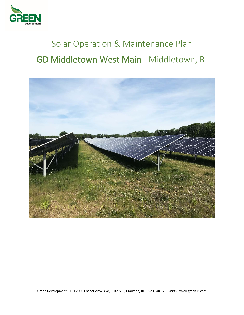

# Solar Operation & Maintenance Plan GD Middletown West Main - Middletown, RI



Green Development, LLC I 2000 Chapel View Blvd, Suite 500, Cranston, RI 02920 I 401-295-4998 [I www.green-ri.com](http://www.green-ri.com/)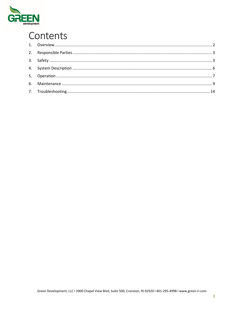

## Contents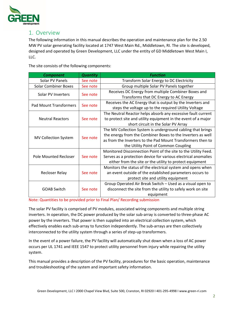

## <span id="page-2-0"></span>1. Overview

The following information in this manual describes the operation and maintenance plan for the 2.50 MW PV solar generating facility located at 1747 West Main Rd., Middletown, RI. The site is developed, designed and operated by Green Development, LLC under the entity of GD Middletown West Main I, LLC.

The site consists of the following components:

| <b>Component</b>              | <b>Quantity</b> | <b>Function</b>                                                |  |
|-------------------------------|-----------------|----------------------------------------------------------------|--|
| Solar PV Panels               | See note        | Transform Solar Energy to DC Electricity                       |  |
| <b>Solar Combiner Boxes</b>   | See note        | Group multiple Solar PV Panels together                        |  |
|                               |                 | Receives DC Energy from multiple Combiner Boxes and            |  |
| Solar PV Inverters            | See note        | Transforms that DC Energy to AC Energy                         |  |
|                               | See note        | Receives the AC Energy that is output by the Inverters and     |  |
| <b>Pad Mount Transformers</b> |                 | steps the voltage up to the required Utility Voltage           |  |
|                               |                 | The Neutral Reactor helps absorb any excessive fault current   |  |
| <b>Neutral Reactors</b>       | See note        | to protect site and utility equipment in the event of a major  |  |
|                               |                 | short circuit in the Solar PV Array                            |  |
|                               | See note        | The MV Collection System is underground cabling that brings    |  |
|                               |                 | the energy from the Combiner Boxes to the Inverters as well    |  |
| <b>MV Collection System</b>   |                 | as from the Inverters to the Pad Mount Transformers then to    |  |
|                               |                 | the Utility Point of Common Coupling                           |  |
|                               |                 | Monitored Disconnection Point of the site to the Utility Feed. |  |
| <b>Pole Mounted Recloser</b>  | See note        | Serves as a protection device for various electrical anomalies |  |
|                               |                 | either from the site or the utility to protect equipment       |  |
|                               |                 | Monitors the status of the electrical system and opens when    |  |
| Recloser Relay                | See note        | an event outside of the established parameters occurs to       |  |
|                               |                 | protect site and utility equipment                             |  |
|                               | See note        | Group Operated Air Break Switch - Used as a visual open to     |  |
| <b>GOAB Switch</b>            |                 | disconnect the site from the utility to safely work on site    |  |
|                               |                 | equipment                                                      |  |

Note: Quantities to be provided prior to Final Plan/ Recording submission

The solar PV facility is comprised of PV modules, associated wiring components and multiple string inverters. In operation, the DC power produced by the solar sub-array is converted to three-phase AC power by the inverters. That power is then supplied into an electrical collection system, which effectively enables each sub-array to function independently. The sub-arrays are then collectively interconnected to the utility system through a series of step-up transformers.

In the event of a power failure, the PV facility will automatically shut down when a loss of AC power occurs per UL 1741 and IEEE 1547 to protect utility personnel from injury while repairing the utility system.

This manual provides a description of the PV facility, procedures for the basic operation, maintenance and troubleshooting of the system and important safety information.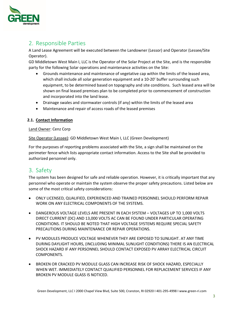

## <span id="page-3-0"></span>2. Responsible Parties

A Land Lease Agreement will be executed between the Landowner (Lessor) and Operator (Lessee/Site Operator).

GD Middletown West Main I, LLC is the Operator of the Solar Project at the Site, and is the responsible party for the following Solar operations and maintenance activities on the Site:

- Grounds maintenance and maintenance of vegetative cap within the limits of the leased area, which shall include all solar generation equipment and a 10-20' buffer surrounding such equipment, to be determined based on topography and site conditions. Such leased area will be shown on final leased premises plan to be completed prior to commencement of construction and incorporated into the land lease.
- Drainage swales and stormwater controls (if any) within the limits of the leased area
- Maintenance and repair of access roads of the leased premises

#### **2.1. Contact Information**

#### Land Owner: Cenz Corp

Site Operator (Lessee): GD Middletown West Main I, LLC (Green Development)

For the purposes of reporting problems associated with the Site, a sign shall be maintained on the perimeter fence which lists appropriate contact information. Access to the Site shall be provided to authorized personnel only.

## <span id="page-3-1"></span>3. Safety

The system has been designed for safe and reliable operation. However, it is critically important that any personnel who operate or maintain the system observe the proper safety precautions. Listed below are some of the most critical safety considerations:

- ONLY LICENSED, QUALIFIED, EXPERIENCED AND TRAINED PERSONNEL SHOULD PERFORM REPAIR WORK ON ANY ELECTRICAL COMPONENTS OF THE SYSTEMS.
- DANGEROUS VOLTAGE LEVELS ARE PRESENT IN EACH SYSTEM VOLTAGES UP TO 1,000 VOLTS DIRECT CURRENT (DC) AND 13,000 VOLTS AC CAN BE FOUND UNDER PARTICULAR OPERATING CONDITIONS. IT SHOULD BE NOTED THAT HIGH VOLTAGE SYSTEMS REQUIRE SPECIAL SAFETY PRECAUTIONS DURING MAINTENANCE OR REPAIR OPERATIONS.
- PV MODULES PRODUCE VOLTAGE WHENEVER THEY ARE EXPOSED TO SUNLIGHT. AT ANY TIME DURING DAYLIGHT HOURS, (INCLUDING MINIMAL SUNLIGHT CONDITIONS) THERE IS AN ELECTRICAL SHOCK HAZARD IF ANY PERSONNEL SHOULD CONTACT EXPOSED PV ARRAY ELECTRICAL CIRCUIT COMPONENTS.
- BROKEN OR CRACKED PV MODULE GLASS CAN INCREASE RISK OF SHOCK HAZARD, ESPECIALLY WHEN WET. IMMEDIATELY CONTACT QUALIFIED PERSONNEL FOR REPLACEMENT SERVICES IF ANY BROKEN PV MODULE GLASS IS NOTICED.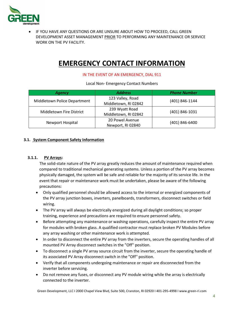

IF YOU HAVE ANY QUESTIONS OR ARE UNSURE ABOUT HOW TO PROCEED, CALL GREEN DEVELOPMENT ASSET MANAGEMENT PRIOR TO PERFORMING ANY MAINTENANCE OR SERVICE WORK ON THE PV FACILITY.

## **EMERGENCY CONTACT INFORMATION**

#### IN THE EVENT OF AN EMERGENCY, DIAL 911

Local Non- Emergency Contact Numbers

| <b>Agency</b>                   | <b>Address</b>       | <b>Phone Number</b> |
|---------------------------------|----------------------|---------------------|
| Middletown Police Department    | 123 Valley, Road     | (401) 846-1144      |
|                                 | Middletown, RI 02842 |                     |
| <b>Middletown Fire District</b> | 239 Wyatt Road       | (401) 846-1031      |
|                                 | Middletown, RI 02842 |                     |
|                                 | 20 Powel Avenue      | (401) 846-6400      |
| Newport Hospital                | Newport, RI 02840    |                     |

#### **3.1. System Component Safety Information**

#### **3.1.1. PV Arrays:**

The solid-state nature of the PV array greatly reduces the amount of maintenance required when compared to traditional mechanical generating systems. Unless a portion of the PV array becomes physically damaged, the system will be safe and reliable for the majority of its service life. In the event that repair or maintenance work must be undertaken, please be aware of the following precautions:

- Only qualified personnel should be allowed access to the internal or energized components of the PV array junction boxes, inverters, panelboards, transformers, disconnect switches or field wiring.
- The PV array will always be electrically energized during all daylight conditions; so proper training, experience and precautions are required to ensure personnel safety.
- Before attempting any maintenance or washing operations, carefully inspect the entire PV array for modules with broken glass. A qualified contractor must replace broken PV Modules before any array washing or other maintenance work is attempted.
- In order to disconnect the entire PV array from the inverters, secure the operating handles of all mounted PV Array disconnect switches in the "Off'' position.
- To disconnect a single PV array source circuit from the inverter, secure the operating handle of its associated PV Array disconnect switch in the "Off'' position.
- Verify that all components undergoing maintenance or repair are disconnected from the inverter before servicing.
- Do not remove any fuses, or disconnect any PV module wiring while the array is electrically connected to the inverter.

Green Development, LLC I 2000 Chapel View Blvd, Suite 500, Cranston, RI 02920 I 401-295-4998 [I www.green-ri.com](http://www.green-ri.com/)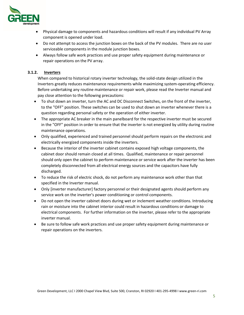

- Physical damage to components and hazardous conditions will result if any individual PV Array component is opened under load.
- Do not attempt to access the junction boxes on the back of the PV modules. There are no user serviceable components in the module junction boxes.
- Always follow safe work practices and use proper safety equipment during maintenance or repair operations on the PV array.

#### **3.1.2. Inverters**

When compared to historical rotary inverter technology, the solid-state design utilized in the Inverters greatly reduces maintenance requirements while maximizing system-operating efficiency. Before undertaking any routine maintenance or repair work, please read the Inverter manual and pay close attention to the following precautions:

- To shut down an inverter, turn the AC and DC Disconnect Switches, on the front of the inverter, to the "OFF" position. These switches can be used to shut down an inverter whenever there is a question regarding personal safety or the operation of either inverter.
- The appropriate AC breaker in the main panelboard for the respective inverter must be secured in the "OFF" position in order to ensure that the inverter is not energized by utility during routine maintenance operations.
- Only qualified, experienced and trained personnel should perform repairs on the electronic and electrically energized components inside the inverters.
- Because the interior of the inverter cabinet contains exposed high voltage components, the cabinet door should remain closed at all times. Qualified, maintenance or repair personnel should only open the cabinet to perform maintenance or service work after the inverter has been completely disconnected from all electrical energy sources and the capacitors have fully discharged.
- To reduce the risk of electric shock, do not perform any maintenance work other than that specified in the Inverter manual.
- Only [inverter manufacturer] factory personnel or their designated agents should perform any service work on the inverter's power conditioning or control components.
- Do not open the inverter cabinet doors during wet or inclement weather conditions. Introducing rain or moisture into the cabinet interior could result in hazardous conditions or damage to electrical components. For further information on the inverter, please refer to the appropriate inverter manual.
- Be sure to follow safe work practices and use proper safety equipment during maintenance or repair operations on the inverters.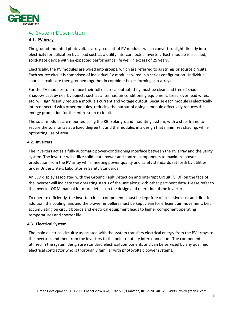

## <span id="page-6-0"></span>4. System Description

#### **4.1. PV Array**

The ground-mounted photovoltaic arrays consist of PV modules which convert sunlight directly into electricity for utilization by a load such as a utility interconnected inverter. Each module is a sealed, solid-state device with an expected performance life well in excess of 25 years.

Electrically, the PV modules are wired into groups, which are referred to as strings or source circuits. Each source circuit is comprised of individual PV modules wired in a series configuration. Individual source circuits are then grouped together in combiner boxes forming sub-arrays.

For the PV modules to produce their full electrical output, they must be clean and free of shade. Shadows cast by nearby objects such as antennas, air conditioning equipment, trees, overhead wires, etc. will significantly reduce a module's current and voltage output. Because each module is electrically interconnected with other modules, reducing the output of a single module effectively reduces the energy production for the entire source circuit.

The solar modules are mounted using the RBI Solar ground mounting system, with a steel frame to secure the solar array at a fixed degree tilt and the modules in a design that minimizes shading, while optimizing use of area.

#### **4.2. Inverters**

The inverters act as a fully automatic power-conditioning interface between the PV array and the utility system. The inverter will utilize solid-state power and control components to maximize power production from the PV array while meeting power quality and safety standards set forth by utilities under Underwriters Laboratories Safety Standards.

An LED display associated with the Ground Fault Detection and Interrupt Circuit (GFDI) on the face of the inverter will indicate the operating status of the unit along with other pertinent data. Please refer to the Inverter O&M manual for more details on the design and operation of the inverter.

To operate efficiently, the inverter circuit components must be kept free of excessive dust and dirt. In addition, the cooling fans and the blower impellers must be kept clean for efficient air movement. Dirt accumulating on circuit boards and electrical equipment leads to higher component operating temperatures and shorter life.

#### **4.3. Electrical System**

The main electrical circuitry associated with the system transfers electrical energy from the PV arrays to the inverters and then from the inverters to the point of utility interconnection. The components utilized in the system design are standard electrical components and can be serviced by any qualified electrical contractor who is thoroughly familiar with photovoltaic power systems.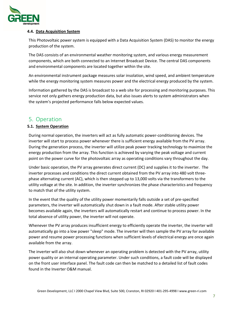

#### **4.4. Data Acquisition System**

This Photovoltaic power system is equipped with a Data Acquisition System (DAS) to monitor the energy production of the system.

The DAS consists of an environmental weather monitoring system, and various energy measurement components, which are both connected to an Internet Broadcast Device. The central DAS components and environmental components are located together within the site.

An environmental instrument package measures solar insolation, wind speed, and ambient temperature while the energy monitoring system measures power and the electrical energy produced by the system.

Information gathered by the DAS is broadcast to a web site for processing and monitoring purposes. This service not only gathers energy production data, but also issues alerts to system administrators when the system's projected performance falls below expected values.

## <span id="page-7-0"></span>5. Operation

#### **5.1. System Operation**

During normal operation, the inverters will act as fully automatic power-conditioning devices. The inverter will start to process power whenever there is sufficient energy available from the PV array. During the generation process, the inverter will utilize peak power tracking technology to maximize the energy production from the array. This function is achieved by varying the peak voltage and current point on the power curve for the photovoltaic array as operating conditions vary throughout the day.

Under basic operation, the PV array generates direct current (DC) and supplies it to the inverter. The inverter processes and conditions the direct current obtained from the PV array into 480 volt threephase alternating current (AC), which is then stepped up to 13,000 volts via the transformers to the utility voltage at the site. In addition, the inverter synchronizes the phase characteristics and frequency to match that of the utility system.

In the event that the quality of the utility power momentarily falls outside a set of pre-specified parameters, the inverter will automatically shut down in a fault mode. After stable utility power becomes available again, the inverters will automatically restart and continue to process power. In the total absence of utility power, the inverter will not operate.

Whenever the PV array produces insufficient energy to efficiently operate the inverter, the inverter will automatically go into a low power "sleep" mode. The inverter will then sample the PV array for available power and resume power processing functions when sufficient levels of electrical energy are once again available from the array.

The inverter will also shut down whenever an operating problem is detected with the PV array, utility power quality or an internal operating parameter. Under such conditions, a fault code will be displayed on the front user interface panel. The fault code can then be matched to a detailed list of fault codes found in the Inverter O&M manual.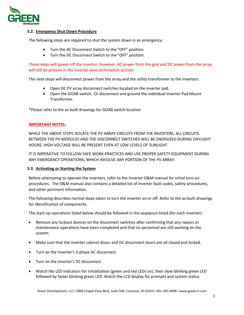

#### **5.2. Emergency Shut Down Procedure**

The following steps are required to shut the system down in an emergency:

- Turn the AC Disconnect Switch to the "OFF" position.
- Turn the DC Disconnect Switch to the "OFF" position.

These steps will power off the inverter; however, AC power from the grid and DC power from the array will still be present in the inverter wire termination section.

The next steps will disconnect power from the array and the utility transformer to the inverters:

- Open DC PV array disconnect switches located on the inverter pad.
- Open the GOAB switch. Or disconnect and ground the individual inverter Pad Mount Transformer.

\*Please refer to the as-built drawings for GOAB switch location

#### **IMPORTANT NOTES:**

WHILE THE ABOVE STEPS ISOLATE THE PV ARRAY CIRCUITS FROM THE INVERTERS, ALL CIRCUITS BETWEEN THE PV MODULES AND THE DISCONNECT SWITCHES WILL BE ENERGIZED DURING DAYLIGHT HOURS. HIGH VOLTAGE WILL BE PRESENT EVEN AT LOW LEVELS OF SUNLIGHT.

IT IS IMPERATIVE TO FOLLOW SAFE WORK PRACTICES AND USE PROPER SAFETY EQUIPMENT DURING ANY EMERGENCY OPERATIONS, WHICH INVOLVE ANY PORTION OF THE PV ARRAY.

#### **5.3. Activating or Starting the System**

Before attempting to operate the inverters, refer to the Inverter O&M manual for initial turn-on procedures. The O&M manual also contains a detailed list of inverter fault codes, safety procedures, and other pertinent information.

The following describes normal steps taken to turn the inverter on or off. Refer to the as-built drawings for identification of components.

The start-up operations listed below should be followed in the sequence listed (for each inverter):

- Remove any lockout devices on the disconnect switches after confirming that any repairs or maintenance operations have been completed and that no personnel are still working on the system.
- Make sure that the inverter cabinet doors and DC disconnect doors are all closed and locked.
- Turn on the Inverter's 3-phase AC disconnect.
- Turn on the Inverter's DC disconnect.
- Watch the LED indicators for initialization (green and red LEDs on), then slow blinking green LED followed by faster blinking green LED. Watch the LCD display for prompts and system status.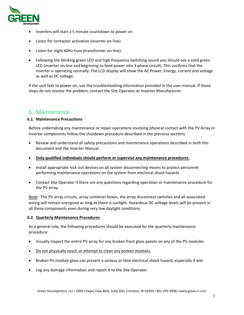

- Inverters will start a 5 minute countdown to power on
- Listen for contactor activation (inverter on-line).
- Listen for slight 60Hz hum (transformer on-line).
- Following the blinking green LED and high frequency switching sound you should see a solid green LED (inverter on-line and beginning to feed power into 3-phase circuit). This confirms that the inverter is operating normally. The LCD display will show the AC Power, Energy, current and voltage as well as DC voltage.

If the unit fails to power on, use the troubleshooting information provided in the user manual. If those steps do not resolve the problem, contact the Site Operator or Inverter Manufacturer.

### <span id="page-9-0"></span>6. Maintenance

#### **6.1. Maintenance Precautions**

Before undertaking any maintenance or repair operations involving physical contact with the PV Array or inverter components follow the shutdown procedure described in the previous sections.

- Review and understand all safety precautions and maintenance operations described in both this document and the Inverter Manual.
- **Only qualified individuals should perform or supervise any maintenance procedures.**
- Install appropriate lock out devices on all system disconnecting means to protect personnel performing maintenance operations on the system from electrical shock hazards.
- Contact Site Operator if there are any questions regarding operation or maintenance procedure for the PV array.

Note: The PV array circuits, array combiner boxes, the array disconnect switches and all associated wiring will remain energized as long as there is sunlight. Hazardous DC voltage levels will be present in all these components even during very low daylight conditions.

#### **6.2. Quarterly Maintenance Procedures**

As a general rule, the following procedures should be executed for the quarterly maintenance procedure:

- Visually inspect the entire PV array for any broken front glass panels on any of the PV modules.
- Do not physically touch or attempt to clean any broken modules.
- Broken PV module glass can present a serious or fatal electrical shock hazard, especially if wet.
- Log any damage information and report it to the Site Operator.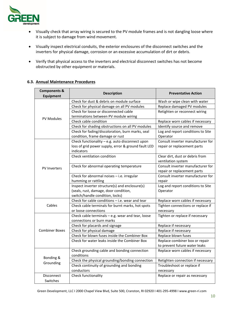

- Visually check that array wiring is secured to the PV module frames and is not dangling loose where it is subject to damage from wind movement.
- Visually inspect electrical conduits, the exterior enclosures of the disconnect switches and the inverters for physical damage, corrosion or an excessive accumulation of dirt or debris.
- Verify that physical access to the inverters and electrical disconnect switches has not become obstructed by other equipment or materials.

#### **6.3. Annual Maintenance Procedures**

| <b>Components &amp;</b><br><b>Equipment</b> | <b>Description</b>                                                                                                   | <b>Preventative Action</b>                                       |
|---------------------------------------------|----------------------------------------------------------------------------------------------------------------------|------------------------------------------------------------------|
|                                             | Check for dust & debris on module surface                                                                            | Wash or wipe clean with water                                    |
|                                             | Check for physical damage on all PV modules                                                                          | Replace damaged PV modules                                       |
|                                             | Check for loose or disconnected cable                                                                                | Retighten or reconnect wiring                                    |
| <b>PV Modules</b>                           | terminations between PV module wiring                                                                                |                                                                  |
|                                             | Check cable condition                                                                                                | Replace worn cables if necessary                                 |
|                                             | Check for shading obstructions on all PV modules                                                                     | Identify source and remove                                       |
|                                             | Check for fading/discoloration, burn marks, seal                                                                     | Log and report conditions to Site                                |
|                                             | condition, frame damage or rust                                                                                      | Operator                                                         |
|                                             | Check functionality - e.g. auto disconnect upon<br>loss of grid power supply, error & ground fault LED<br>indicators | Consult inverter manufacturer for<br>repair or replacement parts |
|                                             | Check ventilation condition                                                                                          | Clear dirt, dust or debris from<br>ventilation system            |
| <b>PV Inverters</b>                         | Check for abnormal operating temperature                                                                             | Consult inverter manufacturer for<br>repair or replacement parts |
|                                             | Check for abnormal noises - i.e. irregular                                                                           | Consult inverter manufacturer for                                |
|                                             | humming or rattling                                                                                                  | repair                                                           |
|                                             | Inspect inverter structure(s) and enclosure(s)                                                                       | Log and report conditions to Site                                |
|                                             | (seals, rust, damage, door condition,                                                                                | Operator                                                         |
|                                             | switch/handle condition, locks)                                                                                      |                                                                  |
|                                             | Check for cable conditions - i.e. wear and tear                                                                      | Replace worn cables if necessary                                 |
| Cables                                      | Check cable terminals for burnt marks, hot spots                                                                     | Tighten connections or replace if                                |
|                                             | or loose connections                                                                                                 | necessary                                                        |
|                                             | Check cable terminals - e.g. wear and tear, loose<br>connections or burn marks                                       | Tighten or replace if necessary                                  |
|                                             | Check for placards and signage                                                                                       | Replace if necessary                                             |
| <b>Combiner Boxes</b>                       | Check for physical damage                                                                                            | Replace if necessary                                             |
|                                             | Check for blown fuses inside the Combiner Box                                                                        | Replace blown fuses                                              |
|                                             | Check for water leaks inside the Combiner Box                                                                        | Replace combiner box or repair<br>to prevent future water leaks  |
|                                             | Check grounding cable and bonding connection<br>conditions                                                           | Replace worn cables if necessary                                 |
| Bonding &                                   | Check the physical grounding/bonding connection                                                                      | Retighten connection if necessary                                |
| Grounding                                   | Check continuity of grounding and bonding                                                                            | Troubleshoot or replace if                                       |
|                                             | conductors                                                                                                           | necessary                                                        |
| <b>Disconnect</b>                           | Check functionality                                                                                                  | Replace or repair as necessary                                   |
| Switches                                    |                                                                                                                      |                                                                  |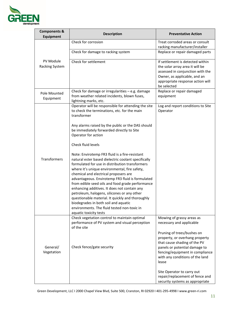

| <b>Components &amp;</b><br><b>Equipment</b> | <b>Description</b>                                                                                                                                                                                                                                                                                                                                                                                                                                                                                                                                                                                                             | <b>Preventative Action</b>                                                                                                                                                                 |
|---------------------------------------------|--------------------------------------------------------------------------------------------------------------------------------------------------------------------------------------------------------------------------------------------------------------------------------------------------------------------------------------------------------------------------------------------------------------------------------------------------------------------------------------------------------------------------------------------------------------------------------------------------------------------------------|--------------------------------------------------------------------------------------------------------------------------------------------------------------------------------------------|
|                                             | Check for corrosion                                                                                                                                                                                                                                                                                                                                                                                                                                                                                                                                                                                                            | Treat corroded areas or consult<br>racking manufacturer/installer                                                                                                                          |
|                                             | Check for damage to racking system                                                                                                                                                                                                                                                                                                                                                                                                                                                                                                                                                                                             | Replace or repair damaged parts                                                                                                                                                            |
| PV Module<br>Racking System                 | Check for settlement                                                                                                                                                                                                                                                                                                                                                                                                                                                                                                                                                                                                           | If settlement is detected within<br>the solar array area it will be<br>assessed in conjunction with the<br>Owner, as applicable, and an<br>appropriate response action will<br>be selected |
| Pole Mounted<br>Equipment                   | Check for damage or irregularities - e.g. damage<br>from weather related incidents, blown fuses,<br>lightning marks, etc.                                                                                                                                                                                                                                                                                                                                                                                                                                                                                                      | Replace or repair damaged<br>equipment                                                                                                                                                     |
|                                             | Operator will be responsible for attending the site<br>to check the terminations, etc. for the main<br>transformer                                                                                                                                                                                                                                                                                                                                                                                                                                                                                                             | Log and report conditions to Site<br>Operator                                                                                                                                              |
|                                             | Any alarms raised by the public or the DAS should<br>be immediately forwarded directly to Site<br>Operator for action                                                                                                                                                                                                                                                                                                                                                                                                                                                                                                          |                                                                                                                                                                                            |
|                                             | Check fluid levels                                                                                                                                                                                                                                                                                                                                                                                                                                                                                                                                                                                                             |                                                                                                                                                                                            |
| Transformers                                | Note: Envirotemp FR3 fluid is a fire-resistant<br>natural ester based dielectric coolant specifically<br>formulated for use in distribution transformers<br>where it's unique environmental, fire safety,<br>chemical and electrical proposers are<br>advantageous. Envirotemp FR3 fluid is formulated<br>from edible seed oils and food grade performance<br>enhancing additives. It does not contain any<br>petroleum, halogens, silicones or any other<br>questionable material. It quickly and thoroughly<br>biodegrades in both soil and aquatic<br>environments. The fluid tested non-toxic in<br>aquatic toxicity tests |                                                                                                                                                                                            |
|                                             | Check vegetation control to maintain optimal<br>performance of PV system and visual perception<br>of the site                                                                                                                                                                                                                                                                                                                                                                                                                                                                                                                  | Mowing of grassy areas as<br>necessary and applicable<br>Pruning of trees/bushes on                                                                                                        |
| General/<br>Vegetation                      | Check fence/gate security                                                                                                                                                                                                                                                                                                                                                                                                                                                                                                                                                                                                      | property, or overhang property<br>that cause shading of the PV<br>panels or potential damage to<br>fencing/equipment in compliance<br>with any conditions of the land<br>lease             |
|                                             |                                                                                                                                                                                                                                                                                                                                                                                                                                                                                                                                                                                                                                | Site Operator to carry out<br>repair/replacement of fence and<br>security systems as appropriate                                                                                           |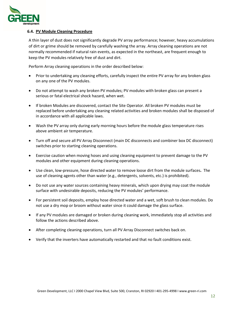

#### **6.4. PV Module Cleaning Procedure**

A thin layer of dust does not significantly degrade PV array performance; however, heavy accumulations of dirt or grime should be removed by carefully washing the array. Array cleaning operations are not normally recommended if natural rain events, as expected in the northeast, are frequent enough to keep the PV modules relatively free of dust and dirt.

Perform Array cleaning operations in the order described below:

- Prior to undertaking any cleaning efforts, carefully inspect the entire PV array for any broken glass on any one of the PV modules.
- Do not attempt to wash any broken PV modules; PV modules with broken glass can present a serious or fatal electrical shock hazard, when wet.
- If broken Modules are discovered, contact the Site Operator. All broken PV modules must be replaced before undertaking any cleaning related activities and broken modules shall be disposed of in accordance with all applicable laws.
- Wash the PV array only during early morning hours before the module glass temperature rises above ambient air temperature.
- Turn off and secure all PV Array Disconnect (main DC disconnects and combiner box DC disconnect) switches prior to starting cleaning operations.
- Exercise caution when moving hoses and using cleaning equipment to prevent damage to the PV modules and other equipment during cleaning operations.
- Use clean, low-pressure, hose directed water to remove loose dirt from the module surfaces**.** The use of cleaning agents other than water (e.g., detergents, solvents, etc.) is prohibited).
- Do not use any water sources containing heavy minerals, which upon drying may coat the module surface with undesirable deposits, reducing the PV modules' performance.
- For persistent soil deposits, employ hose directed water and a wet, soft brush to clean modules. Do not use a dry mop or broom without water since it could damage the glass surface.
- If any PV modules are damaged or broken during cleaning work, immediately stop all activities and follow the actions described above.
- After completing cleaning operations, turn all PV Array Disconnect switches back on.
- Verify that the inverters have automatically restarted and that no fault conditions exist.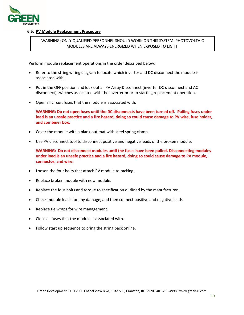

#### **6.5. PV Module Replacement Procedure**

#### WARNING: ONLY QUALIFIED PERSONNEL SHOULD WORK ON THIS SYSTEM. PHOTOVOLTAIC MODULES ARE ALWAYS ENERGIZED WHEN EXPOSED TO LIGHT.

Perform module replacement operations in the order described below:

- Refer to the string wiring diagram to locate which inverter and DC disconnect the module is associated with.
- Put in the OFF position and lock out all PV Array Disconnect (inverter DC disconnect and AC disconnect) switches associated with the inverter prior to starting replacement operation.
- Open all circuit fuses that the module is associated with.

**WARNING: Do not open fuses until the DC disconnects have been turned off. Pulling fuses under load is an unsafe practice and a fire hazard, doing so could cause damage to PV wire, fuse holder, and combiner box.**

- Cover the module with a blank out mat with steel spring clamp.
- Use PV disconnect tool to disconnect positive and negative leads of the broken module.

**WARNING: Do not disconnect modules until the fuses have been pulled. Disconnecting modules under load is an unsafe practice and a fire hazard, doing so could cause damage to PV module, connector, and wire.**

- Loosen the four bolts that attach PV module to racking.
- Replace broken module with new module.
- Replace the four bolts and torque to specification outlined by the manufacturer.
- Check module leads for any damage, and then connect positive and negative leads.
- Replace tie wraps for wire management.
- Close all fuses that the module is associated with.
- Follow start up sequence to bring the string back online.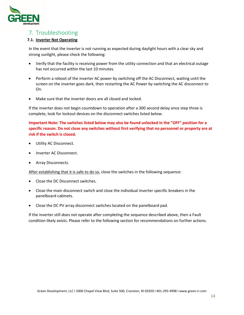

## <span id="page-14-0"></span>7. Troubleshooting

#### **7.1. Inverter Not Operating**

In the event that the inverter is not running as expected during daylight hours with a clear sky and strong sunlight, please check the following:

- Verify that the facility is receiving power from the utility connection and that an electrical outage has not occurred within the last 10 minutes.
- Perform a reboot of the inverter AC power by switching off the AC Disconnect, waiting until the screen on the inverter goes dark, then restarting the AC Power by switching the AC disconnect to On.
- Make sure that the inverter doors are all closed and locked.

If the inverter does not begin countdown to operation after a 300 second delay once step three is complete, look for lockout devices on the disconnect switches listed below.

**Important Note: The switches listed below may also be found unlocked in the "OFF" position for a specific reason. Do not close any switches without first verifying that no personnel or property are at risk if the switch is closed.**

- Utility AC Disconnect.
- Inverter AC Disconnect.
- Array Disconnects.

After establishing that it is safe to do so, close the switches in the following sequence:

- Close the DC Disconnect switches.
- Close the main disconnect switch and close the individual inverter specific breakers in the panelboard cabinets.
- Close the DC PV array disconnect switches located on the panelboard pad.

If the inverter still does not operate after completing the sequence described above, then a Fault condition likely exists. Please refer to the following section for recommendations on further actions.